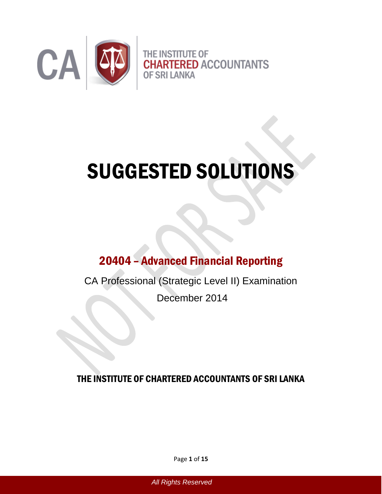

# SUGGESTED SOLUTIONS

## 20404 – Advanced Financial Reporting

CA Professional (Strategic Level II) Examination

December 2014

THE INSTITUTE OF CHARTERED ACCOUNTANTS OF SRI LANKA

Page **1** of **15**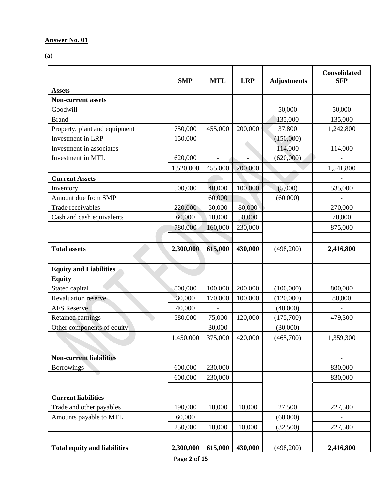(a)

|                                     | <b>SMP</b> | <b>MTL</b> | <b>LRP</b>               | <b>Adjustments</b> | <b>Consolidated</b><br><b>SFP</b> |
|-------------------------------------|------------|------------|--------------------------|--------------------|-----------------------------------|
| <b>Assets</b>                       |            |            |                          |                    |                                   |
| <b>Non-current assets</b>           |            |            |                          |                    |                                   |
| Goodwill                            |            |            |                          | 50,000             | 50,000                            |
| <b>Brand</b>                        |            |            |                          | 135,000            | 135,000                           |
| Property, plant and equipment       | 750,000    | 455,000    | 200,000                  | 37,800             | 1,242,800                         |
| Investment in LRP                   | 150,000    |            |                          | (150,000)          |                                   |
| Investment in associates            |            |            |                          | 114,000            | 114,000                           |
| Investment in MTL                   | 620,000    |            |                          | (620,000)          |                                   |
|                                     | 1,520,000  | 455,000    | 200,000                  |                    | 1,541,800                         |
| <b>Current Assets</b>               |            |            |                          |                    |                                   |
| Inventory                           | 500,000    | 40,000     | 100,000                  | (5,000)            | 535,000                           |
| Amount due from SMP                 |            | 60,000     |                          | (60,000)           |                                   |
| Trade receivables                   | 220,000    | 50,000     | 80,000                   |                    | 270,000                           |
| Cash and cash equivalents           | 60,000     | 10,000     | 50,000                   |                    | 70,000                            |
|                                     | 780,000    | 160,000    | 230,000                  |                    | 875,000                           |
|                                     |            |            |                          |                    |                                   |
| <b>Total assets</b>                 | 2,300,000  | 615,000    | 430,000                  | (498,200)          | 2,416,800                         |
|                                     |            |            |                          |                    |                                   |
| <b>Equity and Liabilities</b>       |            |            |                          |                    |                                   |
| <b>Equity</b>                       |            |            |                          |                    |                                   |
| Stated capital                      | 800,000    | 100,000    | 200,000                  | (100,000)          | 800,000                           |
| <b>Revaluation reserve</b>          | 30,000     | 170,000    | 100,000                  | (120,000)          | 80,000                            |
| <b>AFS Reserve</b>                  | 40,000     |            |                          | (40,000)           |                                   |
| <b>Retained earnings</b>            | 580,000    | 75,000     | 120,000                  | (175,700)          | 479,300                           |
| Other components of equity          |            | 30,000     |                          | (30,000)           |                                   |
|                                     | 1,450,000  | 375,000    | 420,000                  | (465,700)          | 1,359,300                         |
|                                     |            |            |                          |                    |                                   |
| <b>Non-current liabilities</b>      |            |            |                          |                    |                                   |
| <b>Borrowings</b>                   | 600,000    | 230,000    | $\overline{\phantom{a}}$ |                    | 830,000                           |
|                                     | 600,000    | 230,000    |                          |                    | 830,000                           |
|                                     |            |            |                          |                    |                                   |
| <b>Current liabilities</b>          |            |            |                          |                    |                                   |
| Trade and other payables            | 190,000    | 10,000     | 10,000                   | 27,500             | 227,500                           |
| Amounts payable to MTL              | 60,000     |            |                          | (60,000)           |                                   |
|                                     | 250,000    | 10,000     | 10,000                   | (32,500)           | 227,500                           |
|                                     |            |            |                          |                    |                                   |
| <b>Total equity and liabilities</b> | 2,300,000  | 615,000    | 430,000                  | (498,200)          | 2,416,800                         |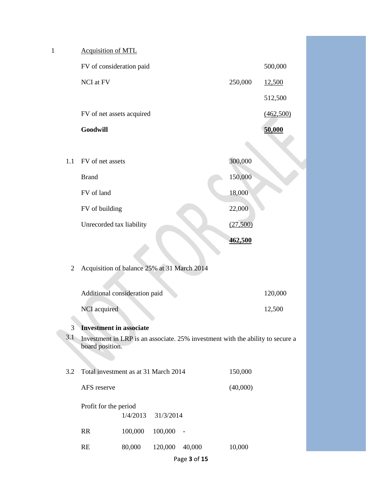| $\mathbf{1}$   | <b>Acquisition of MTL</b>                   |          |           |                          |                                                                                |           |  |
|----------------|---------------------------------------------|----------|-----------|--------------------------|--------------------------------------------------------------------------------|-----------|--|
|                | FV of consideration paid                    |          |           |                          |                                                                                | 500,000   |  |
|                | NCI at FV                                   |          |           |                          | 250,000                                                                        | 12,500    |  |
|                |                                             |          |           |                          |                                                                                | 512,500   |  |
|                | FV of net assets acquired                   |          |           |                          |                                                                                | (462,500) |  |
|                | Goodwill                                    |          |           |                          |                                                                                | 50,000    |  |
|                |                                             |          |           |                          |                                                                                |           |  |
| 1.1            | FV of net assets                            |          |           |                          | 300,000                                                                        |           |  |
|                | <b>Brand</b>                                |          |           |                          | 150,000                                                                        |           |  |
|                | FV of land                                  |          |           |                          | 18,000                                                                         |           |  |
|                | FV of building                              |          |           |                          | 22,000                                                                         |           |  |
|                | Unrecorded tax liability                    |          |           |                          | (27,500)                                                                       |           |  |
|                |                                             |          |           |                          | 462,500                                                                        |           |  |
|                |                                             |          |           |                          |                                                                                |           |  |
| $\overline{c}$ | Acquisition of balance 25% at 31 March 2014 |          |           |                          |                                                                                |           |  |
|                | Additional consideration paid               |          |           |                          |                                                                                | 120,000   |  |
|                | NCI acquired                                |          |           |                          |                                                                                | 12,500    |  |
| 3              | <b>Investment in associate</b>              |          |           |                          |                                                                                |           |  |
| 3.1            | board position.                             |          |           |                          | Investment in LRP is an associate. 25% investment with the ability to secure a |           |  |
|                |                                             |          |           |                          |                                                                                |           |  |
| 3.2            | Total investment as at 31 March 2014        |          |           |                          | 150,000                                                                        |           |  |
|                | AFS reserve<br>(40,000)                     |          |           |                          |                                                                                |           |  |
|                | Profit for the period                       | 1/4/2013 | 31/3/2014 |                          |                                                                                |           |  |
|                | RR                                          | 100,000  | 100,000   | $\overline{\phantom{a}}$ |                                                                                |           |  |
|                | RE                                          | 80,000   | 120,000   | 40,000                   | 10,000                                                                         |           |  |
|                |                                             |          |           |                          |                                                                                |           |  |

Page **3** of **15**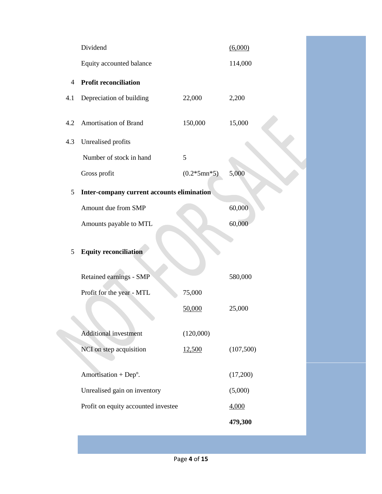|                | Dividend                                   |               | (6,000)   |
|----------------|--------------------------------------------|---------------|-----------|
|                | Equity accounted balance                   |               | 114,000   |
| $\overline{4}$ | <b>Profit reconciliation</b>               |               |           |
| 4.1            | Depreciation of building                   | 22,000        | 2,200     |
| 4.2            | Amortisation of Brand                      | 150,000       | 15,000    |
| 4.3            | Unrealised profits                         |               |           |
|                | Number of stock in hand                    | 5             |           |
|                | Gross profit                               | $(0.2*5mn*5)$ | 5,000     |
| 5              | Inter-company current accounts elimination |               |           |
|                | Amount due from SMP                        |               | 60,000    |
|                | Amounts payable to MTL                     |               | 60,000    |
| 5              | <b>Equity reconciliation</b>               |               |           |
|                | Retained earnings - SMP                    |               | 580,000   |
|                | Profit for the year - MTL                  | 75,000        |           |
|                |                                            | 50,000        | 25,000    |
|                | <b>Additional investment</b>               | (120,000)     |           |
|                | NCI on step acquisition                    | <u>12,500</u> | (107,500) |
|                |                                            |               |           |
|                | Amortisation + Dep <sup>n</sup> .          |               | (17,200)  |
|                | Unrealised gain on inventory               |               | (5,000)   |
|                | Profit on equity accounted investee        |               | 4,000     |
|                |                                            |               | 479,300   |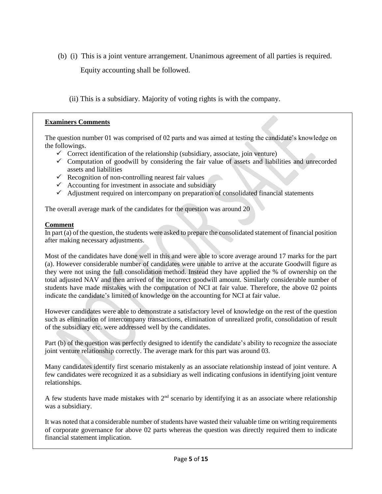(b) (i) This is a joint venture arrangement. Unanimous agreement of all parties is required.

Equity accounting shall be followed.

(ii) This is a subsidiary. Majority of voting rights is with the company.

## **Examiners Comments**

The question number 01 was comprised of 02 parts and was aimed at testing the candidate's knowledge on the followings.

- $\checkmark$  Correct identification of the relationship (subsidiary, associate, join venture)
- $\checkmark$  Computation of goodwill by considering the fair value of assets and liabilities and unrecorded assets and liabilities
- $\checkmark$  Recognition of non-controlling nearest fair values
- $\checkmark$  Accounting for investment in associate and subsidiary
- $\checkmark$  Adjustment required on intercompany on preparation of consolidated financial statements

The overall average mark of the candidates for the question was around 20

## **Comment**

In part (a) of the question, the students were asked to prepare the consolidated statement of financial position after making necessary adjustments.

Most of the candidates have done well in this and were able to score average around 17 marks for the part (a). However considerable number of candidates were unable to arrive at the accurate Goodwill figure as they were not using the full consolidation method. Instead they have applied the % of ownership on the total adjusted NAV and then arrived of the incorrect goodwill amount. Similarly considerable number of students have made mistakes with the computation of NCI at fair value. Therefore, the above 02 points indicate the candidate's limited of knowledge on the accounting for NCI at fair value.

However candidates were able to demonstrate a satisfactory level of knowledge on the rest of the question such as elimination of intercompany transactions, elimination of unrealized profit, consolidation of result of the subsidiary etc. were addressed well by the candidates.

Part (b) of the question was perfectly designed to identify the candidate's ability to recognize the associate joint venture relationship correctly. The average mark for this part was around 03.

Many candidates identify first scenario mistakenly as an associate relationship instead of joint venture. A few candidates were recognized it as a subsidiary as well indicating confusions in identifying joint venture relationships.

A few students have made mistakes with  $2<sup>nd</sup>$  scenario by identifying it as an associate where relationship was a subsidiary.

It was noted that a considerable number of students have wasted their valuable time on writing requirements of corporate governance for above 02 parts whereas the question was directly required them to indicate financial statement implication.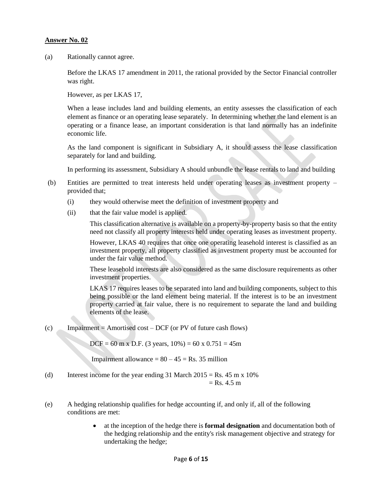(a) Rationally cannot agree.

Before the LKAS 17 amendment in 2011, the rational provided by the Sector Financial controller was right.

However, as per LKAS 17,

When a lease includes land and building elements, an entity assesses the classification of each element as finance or an operating lease separately. In determining whether the land element is an operating or a finance lease, an important consideration is that land normally has an indefinite economic life.

As the land component is significant in Subsidiary A, it should assess the lease classification separately for land and building.

In performing its assessment, Subsidiary A should unbundle the lease rentals to land and building

- (b) Entities are permitted to treat interests held under operating leases as investment property provided that;
	- (i) they would otherwise meet the definition of investment property and
	- (ii) that the fair value model is applied.

This classification alternative is available on a property-by-property basis so that the entity need not classify all property interests held under operating leases as investment property.

However, LKAS 40 requires that once one operating leasehold interest is classified as an investment property, all property classified as investment property must be accounted for under the fair value method.

These leasehold interests are also considered as the same disclosure requirements as other investment properties.

LKAS 17 requires leases to be separated into land and building components, subject to this being possible or the land element being material. If the interest is to be an investment property carried at fair value, there is no requirement to separate the land and building elements of the lease.

(c) Impairment = Amortised cost – DCF (or PV of future cash flows)

 $DCF = 60$  m x D.F. (3 years,  $10\% = 60$  x  $0.751 = 45$ m

Impairment allowance  $= 80 - 45 = \text{Rs.} 35$  million

- (d) Interest income for the year ending 31 March  $2015 = \text{Rs. } 45 \text{ m} \times 10\%$  $=$  Rs. 4.5 m
- (e) A hedging relationship qualifies for hedge accounting if, and only if, all of the following conditions are met:
	- at the inception of the hedge there is **formal designation** and documentation both of the hedging relationship and the entity's risk management objective and strategy for undertaking the hedge;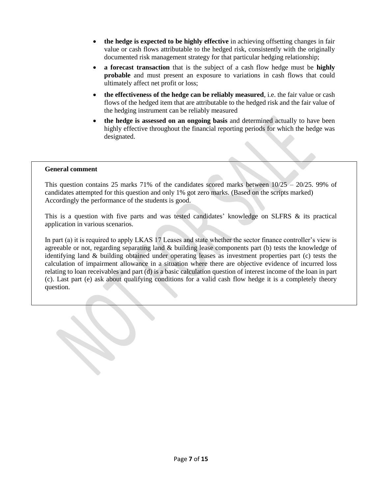- **the hedge is expected to be highly effective** in achieving offsetting changes in fair value or cash flows attributable to the hedged risk, consistently with the originally documented risk management strategy for that particular hedging relationship;
- **a forecast transaction** that is the subject of a cash flow hedge must be **highly probable** and must present an exposure to variations in cash flows that could ultimately affect net profit or loss;
- **the effectiveness of the hedge can be reliably measured**, i.e. the fair value or cash flows of the hedged item that are attributable to the hedged risk and the fair value of the hedging instrument can be reliably measured
- **the hedge is assessed on an ongoing basis** and determined actually to have been highly effective throughout the financial reporting periods for which the hedge was designated.

#### **General comment**

This question contains 25 marks 71% of the candidates scored marks between  $10/25 - 20/25$ . 99% of candidates attempted for this question and only 1% got zero marks. (Based on the scripts marked) Accordingly the performance of the students is good.

This is a question with five parts and was tested candidates' knowledge on SLFRS & its practical application in various scenarios.

In part (a) it is required to apply LKAS 17 Leases and state whether the sector finance controller's view is agreeable or not, regarding separating land & building lease components part (b) tests the knowledge of identifying land & building obtained under operating leases as investment properties part (c) tests the calculation of impairment allowance in a situation where there are objective evidence of incurred loss relating to loan receivables and part (d) is a basic calculation question of interest income of the loan in part (c). Last part (e) ask about qualifying conditions for a valid cash flow hedge it is a completely theory question.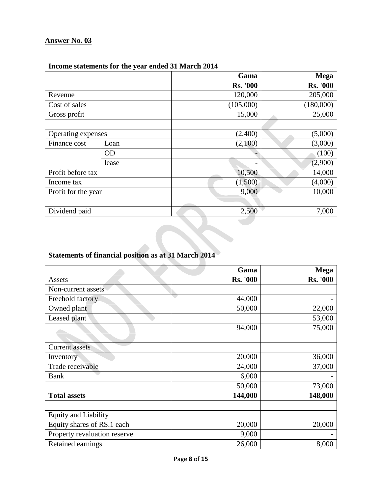|                     |           | Gama            | <b>Mega</b>     |
|---------------------|-----------|-----------------|-----------------|
|                     |           | <b>Rs. '000</b> | <b>Rs. '000</b> |
| Revenue             |           | 120,000         | 205,000         |
| Cost of sales       |           | (105,000)       | (180,000)       |
| Gross profit        |           | 15,000          | 25,000          |
|                     |           |                 |                 |
| Operating expenses  |           | (2,400)         | (5,000)         |
| Finance cost        | Loan      | (2,100)         | (3,000)         |
|                     | <b>OD</b> |                 | (100)           |
|                     | lease     |                 | (2,900)         |
| Profit before tax   |           | 10,500          | 14,000          |
| Income tax          |           | (1,500)         | (4,000)         |
| Profit for the year |           | 9,000           | 10,000          |
|                     |           |                 |                 |
| Dividend paid       |           | 2,500           | 7,000           |

## **Income statements for the year ended 31 March 2014**

## **Statements of financial position as at 31 March 2014**

|                              | Gama            | <b>Mega</b>     |
|------------------------------|-----------------|-----------------|
| Assets                       | <b>Rs. '000</b> | <b>Rs. '000</b> |
| Non-current assets           |                 |                 |
| Freehold factory             | 44,000          |                 |
| Owned plant                  | 50,000          | 22,000          |
| Leased plant                 |                 | 53,000          |
|                              | 94,000          | 75,000          |
|                              |                 |                 |
| <b>Current assets</b>        |                 |                 |
| Inventory                    | 20,000          | 36,000          |
| Trade receivable             | 24,000          | 37,000          |
| <b>Bank</b>                  | 6,000           |                 |
|                              | 50,000          | 73,000          |
| <b>Total assets</b>          | 144,000         | 148,000         |
|                              |                 |                 |
| <b>Equity and Liability</b>  |                 |                 |
| Equity shares of RS.1 each   | 20,000          | 20,000          |
| Property revaluation reserve | 9,000           |                 |
| Retained earnings            | 26,000          | 8,000           |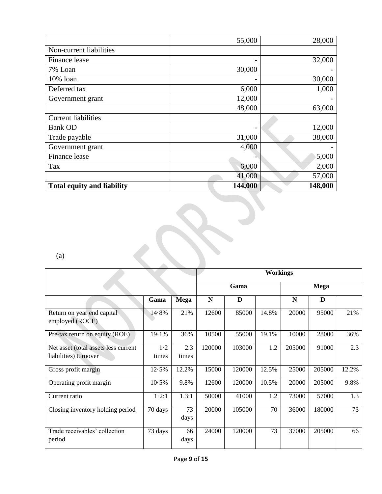|                                   | 55,000  | 28,000  |
|-----------------------------------|---------|---------|
| Non-current liabilities           |         |         |
| Finance lease                     |         | 32,000  |
| 7% Loan                           | 30,000  |         |
| 10% loan                          |         | 30,000  |
| Deferred tax                      | 6,000   | 1,000   |
| Government grant                  | 12,000  |         |
|                                   | 48,000  | 63,000  |
| <b>Current liabilities</b>        |         |         |
| <b>Bank OD</b>                    |         | 12,000  |
| Trade payable                     | 31,000  | 38,000  |
| Government grant                  | 4,000   |         |
| Finance lease                     |         | 5,000   |
| Tax                               | 6,000   | 2,000   |
|                                   | 41,000  | 57,000  |
| <b>Total equity and liability</b> | 144,000 | 148,000 |

(a)

|                                                               |              |              |           |        | <b>Workings</b> |        |             |       |
|---------------------------------------------------------------|--------------|--------------|-----------|--------|-----------------|--------|-------------|-------|
|                                                               |              |              |           | Gama   |                 |        | <b>Mega</b> |       |
|                                                               | Gama         | <b>Mega</b>  | ${\bf N}$ | D      |                 | N      | D           |       |
| Return on year end capital<br>employed (ROCE)                 | 14.8%        | 21%          | 12600     | 85000  | 14.8%           | 20000  | 95000       | 21%   |
| Pre-tax return on equity (ROE)                                | 19.1%        | 36%          | 10500     | 55000  | 19.1%           | 10000  | 28000       | 36%   |
| Net asset (total assets less current<br>liabilities) turnover | 1·2<br>times | 2.3<br>times | 120000    | 103000 | 1.2             | 205000 | 91000       | 2.3   |
| Gross profit margin                                           | 12.5%        | 12.2%        | 15000     | 120000 | 12.5%           | 25000  | 205000      | 12.2% |
| Operating profit margin                                       | 10.5%        | 9.8%         | 12600     | 120000 | 10.5%           | 20000  | 205000      | 9.8%  |
| Current ratio                                                 | 1.2:1        | 1.3:1        | 50000     | 41000  | 1.2             | 73000  | 57000       | 1.3   |
| Closing inventory holding period                              | 70 days      | 73<br>days   | 20000     | 105000 | 70              | 36000  | 180000      | 73    |
| Trade receivables' collection<br>period                       | 73 days      | 66<br>days   | 24000     | 120000 | 73              | 37000  | 205000      | 66    |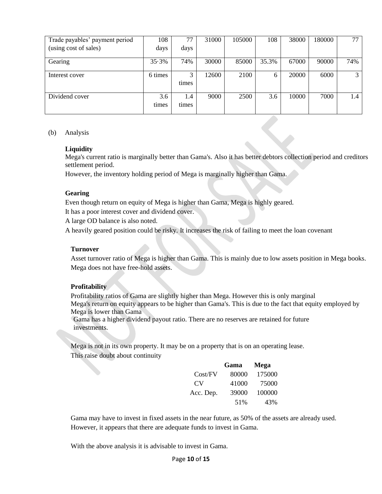| Trade payables' payment period | 108          | 77           | 31000 | 105000 | 108   | 38000 | 180000 | 77  |
|--------------------------------|--------------|--------------|-------|--------|-------|-------|--------|-----|
| (using cost of sales)          | days         | days         |       |        |       |       |        |     |
| Gearing                        | 35.3%        | 74%          | 30000 | 85000  | 35.3% | 67000 | 90000  | 74% |
| Interest cover                 | 6 times      | 3<br>times   | 12600 | 2100   | 6     | 20000 | 6000   | 3   |
| Dividend cover                 | 3.6<br>times | 1.4<br>times | 9000  | 2500   | 3.6   | 10000 | 7000   | 1.4 |

#### (b) Analysis

#### **Liquidity**

Mega's current ratio is marginally better than Gama's. Also it has better debtors collection period and creditors settlement period.

However, the inventory holding period of Mega is marginally higher than Gama.

#### **Gearing**

Even though return on equity of Mega is higher than Gama, Mega is highly geared.

It has a poor interest cover and dividend cover.

A large OD balance is also noted.

A heavily geared position could be risky. It increases the risk of failing to meet the loan covenant

#### **Turnover**

Asset turnover ratio of Mega is higher than Gama. This is mainly due to low assets position in Mega books. Mega does not have free-hold assets.

#### **Profitability**

Profitability ratios of Gama are slightly higher than Mega. However this is only marginal Mega's return on equity appears to be higher than Gama's. This is due to the fact that equity employed by Mega is lower than Gama

Gama has a higher dividend payout ratio. There are no reserves are retained for future investments.

Mega is not in its own property. It may be on a property that is on an operating lease. This raise doubt about continuity

|           | Gama  | Mega   |
|-----------|-------|--------|
| Cost/FV   | 80000 | 175000 |
| CV.       | 41000 | 75000  |
| Acc. Dep. | 39000 | 100000 |
|           | 51%   | 43%    |

Gama may have to invest in fixed assets in the near future, as 50% of the assets are already used. However, it appears that there are adequate funds to invest in Gama.

With the above analysis it is advisable to invest in Gama.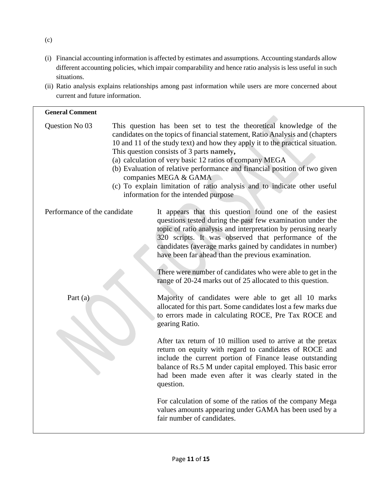- (i) Financial accounting information is affected by estimates and assumptions. Accounting standards allow different accounting policies, which impair comparability and hence ratio analysis is less useful in such situations.
- (ii) Ratio analysis explains relationships among past information while users are more concerned about current and future information.

| <b>General Comment</b>       |                                                                                                                                                                                                                                                                                                                                                                                                                                                                                                                                                                                                                                                                               |
|------------------------------|-------------------------------------------------------------------------------------------------------------------------------------------------------------------------------------------------------------------------------------------------------------------------------------------------------------------------------------------------------------------------------------------------------------------------------------------------------------------------------------------------------------------------------------------------------------------------------------------------------------------------------------------------------------------------------|
| Question No 03               | This question has been set to test the theoretical knowledge of the<br>candidates on the topics of financial statement, Ratio Analysis and (chapters<br>10 and 11 of the study text) and how they apply it to the practical situation.<br>This question consists of 3 parts namely,<br>(a) calculation of very basic 12 ratios of company MEGA<br>(b) Evaluation of relative performance and financial position of two given<br>companies MEGA & GAMA<br>(c) To explain limitation of ratio analysis and to indicate other useful<br>information for the intended purpose                                                                                                     |
| Performance of the candidate | It appears that this question found one of the easiest<br>questions tested during the past few examination under the<br>topic of ratio analysis and interpretation by perusing nearly<br>320 scripts. It was observed that performance of the<br>candidates (average marks gained by candidates in number)<br>have been far ahead than the previous examination.<br>There were number of candidates who were able to get in the<br>range of 20-24 marks out of 25 allocated to this question.                                                                                                                                                                                 |
| Part (a)                     | Majority of candidates were able to get all 10 marks<br>allocated for this part. Some candidates lost a few marks due<br>to errors made in calculating ROCE, Pre Tax ROCE and<br>gearing Ratio.<br>After tax return of 10 million used to arrive at the pretax<br>return on equity with regard to candidates of ROCE and<br>include the current portion of Finance lease outstanding<br>balance of Rs.5 M under capital employed. This basic error<br>had been made even after it was clearly stated in the<br>question.<br>For calculation of some of the ratios of the company Mega<br>values amounts appearing under GAMA has been used by a<br>fair number of candidates. |

(c)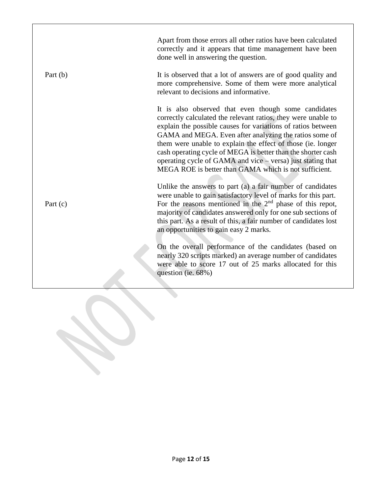Apart from those errors all other ratios have been calculated correctly and it appears that time management have been done well in answering the question. Part (b) It is observed that a lot of answers are of good quality and more comprehensive. Some of them were more analytical relevant to decisions and informative. It is also observed that even though some candidates correctly calculated the relevant ratios, they were unable to explain the possible causes for variations of ratios between GAMA and MEGA. Even after analyzing the ratios some of them were unable to explain the effect of those (ie. longer cash operating cycle of MEGA is better than the shorter cash operating cycle of GAMA and vice – versa) just stating that MEGA ROE is better than GAMA which is not sufficient. Unlike the answers to part (a) a fair number of candidates were unable to gain satisfactory level of marks for this part. Part (c) For the reasons mentioned in the 2<sup>nd</sup> phase of this repot, majority of candidates answered only for one sub sections of this part. As a result of this, a fair number of candidates lost an opportunities to gain easy 2 marks. On the overall performance of the candidates (based on nearly 320 scripts marked) an average number of candidates were able to score 17 out of 25 marks allocated for this question (ie. 68%)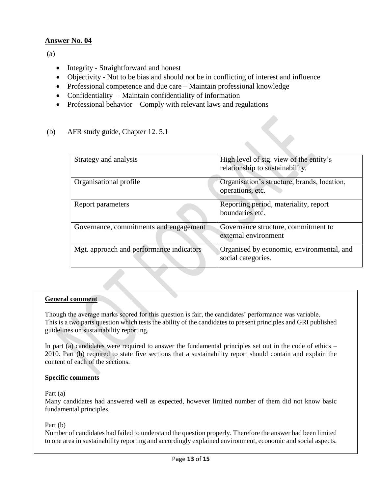(a)

- Integrity Straightforward and honest
- Objectivity Not to be bias and should not be in conflicting of interest and influence
- Professional competence and due care Maintain professional knowledge
- Confidentiality Maintain confidentiality of information
- Professional behavior Comply with relevant laws and regulations
- (b) AFR study guide, Chapter 12. 5.1

| Strategy and analysis                    | High level of stg. view of the entity's<br>relationship to sustainability. |
|------------------------------------------|----------------------------------------------------------------------------|
| Organisational profile                   | Organisation's structure, brands, location,<br>operations, etc.            |
| Report parameters                        | Reporting period, materiality, report<br>boundaries etc.                   |
| Governance, commitments and engagement   | Governance structure, commitment to<br>external environment                |
| Mgt. approach and performance indicators | Organised by economic, environmental, and<br>social categories.            |

## **General comment**

Though the average marks scored for this question is fair, the candidates' performance was variable. This is a two parts question which tests the ability of the candidates to present principles and GRI published guidelines on sustainability reporting.

In part (a) candidates were required to answer the fundamental principles set out in the code of ethics – 2010. Part (b) required to state five sections that a sustainability report should contain and explain the content of each of the sections.

## **Specific comments**

#### Part (a)

Many candidates had answered well as expected, however limited number of them did not know basic fundamental principles.

Part (b)

Number of candidates had failed to understand the question properly. Therefore the answer had been limited to one area in sustainability reporting and accordingly explained environment, economic and social aspects.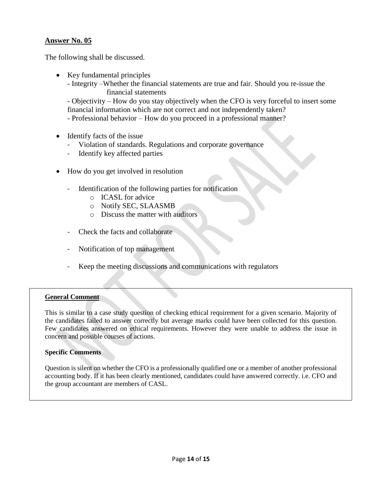The following shall be discussed.

- Key fundamental principles
	- Integrity –Whether the financial statements are true and fair. Should you re-issue the financial statements

- Objectivity – How do you stay objectively when the CFO is very forceful to insert some financial information which are not correct and not independently taken?

- Professional behavior – How do you proceed in a professional manner?

- Identify facts of the issue
	- Violation of standards. Regulations and corporate governance
	- Identify key affected parties
- How do you get involved in resolution
	- Identification of the following parties for notification
		- o ICASL for advice
		- o Notify SEC, SLAASMB
		- o Discuss the matter with auditors
	- Check the facts and collaborate
	- Notification of top management
	- Keep the meeting discussions and communications with regulators

## **General Comment**

This is similar to a case study question of checking ethical requirement for a given scenario. Majority of the candidates failed to answer correctly but average marks could have been collected for this question. Few candidates answered on ethical requirements. However they were unable to address the issue in concern and possible courses of actions.

## **Specific Comments**

Question is silent on whether the CFO is a professionally qualified one or a member of another professional accounting body. If it has been clearly mentioned, candidates could have answered correctly. i.e. CFO and the group accountant are members of CASL.